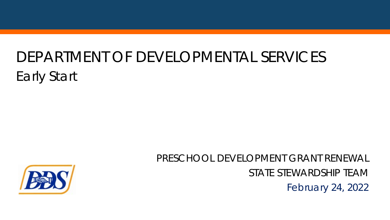# DEPARTMENT OF DEVELOPMENTAL SERVICES Early Start



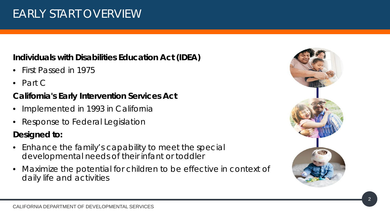## EARLY START OVERVIEW

#### **Individuals with Disabilities Education Act (IDEA)**

- First Passed in 1975
- Part C

## **California's Early Intervention Services Act**

- Implemented in 1993 in California
- Response to Federal Legislation

#### **Designed to:**

- Enhance the family's capability to meet the special developmental needs of their infant or toddler
- Maximize the potential for children to be effective in context of daily life and activities

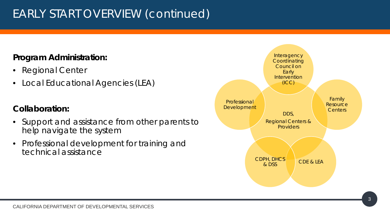## EARLY START OVERVIEW (continued)

#### **Program Administration:**

- **Regional Center**
- Local Educational Agencies (LEA)

#### **Collaboration:**

- Support and assistance from other parents to help navigate the system
- Professional development for training and technical assistance

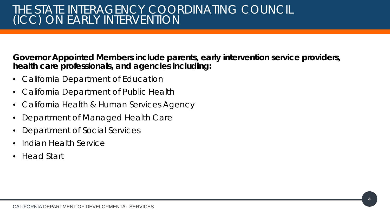**Governor Appointed Members include parents, early intervention service providers, health care professionals, and agencies including:** 

- California Department of Education
- California Department of Public Health
- California Health & Human Services Agency
- Department of Managed Health Care
- Department of Social Services
- Indian Health Service
- Head Start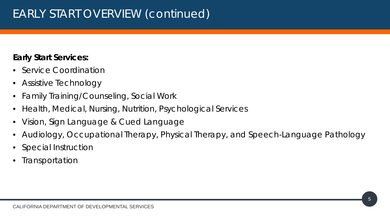## EARLY START OVERVIEW (continued)

#### **Early Start Services:**

- Service Coordination
- Assistive Technology
- Family Training/Counseling, Social Work
- Health, Medical, Nursing, Nutrition, Psychological Services
- Vision, Sign Language & Cued Language
- Audiology, Occupational Therapy, Physical Therapy, and Speech-Language Pathology
- Special Instruction
- **Transportation**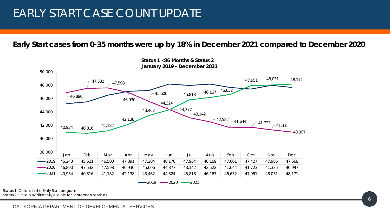## EARLY START CASE COUNT UPDATE

#### **Early Start cases from 0-35 months were up by 18% in December 2021 compared to December 2020**



 $-2019$   $-2020$   $-2021$ 

 *Status 1: Child is in the Early Start program* 

 *Status 2: Child is additionally eligible for Lanterman services*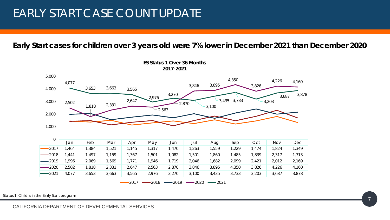## EARLY START CASE COUNT UPDATE

**Early Start cases for children over 3 years old were 7% lower in December 2021 than December 2020** 



 *Status 1: Child is in the Early Start program*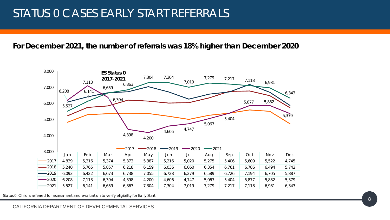## STATUS 0 CASES EARLY START REFERRALS

#### **For December 2021, the number of referrals was 18% higher than December 2020**



 *Status 0: Child is referred for assessment and evaluation to verify eligibility for Early Start*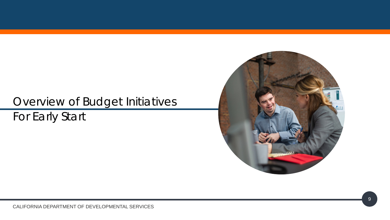## Overview of Budget Initiatives For Early Start

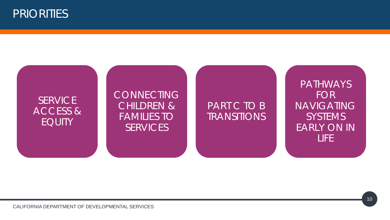

#### **SERVICE** ACCESS & EQUITY

#### **CONNECTING** CHILDREN & FAMILIES TO **SERVICES**

## PART C TO B **TRANSITIONS**

PATHWAYS FOR NAVIGATING SYSTEMS EARLY ON IN LIFE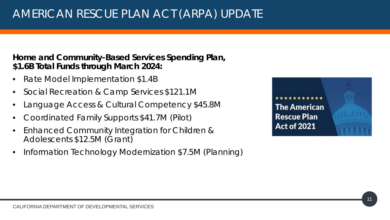**Home and Community-Based Services Spending Plan, \$1.6B Total Funds through March 2024:** 

- Rate Model Implementation \$1.4B
- Social Recreation & Camp Services \$121.1M
- Language Access & Cultural Competency \$45.8M
- Coordinated Family Supports \$41.7M (Pilot)
- Enhanced Community Integration for Children & Adolescents \$12.5M (Grant)
- Information Technology Modernization \$7.5M (Planning)

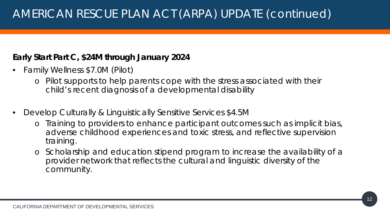#### **Early Start Part C, \$24M through January 2024**

- Family Wellness \$7.0M (Pilot)
	- o *Pilot supports to help parents cope with the stress associated with their child's recent diagnosis of a developmental disability*
- Develop Culturally & Linguistically Sensitive Services \$4.5M
	- o *Training to providers to enhance participant outcomes such as implicit bias, adverse childhood experiences and toxic stress, and reflective supervision training.*
	- o *Scholarship and education stipend program to increase the availability of a provider network that reflects the cultural and linguistic diversity of the community.*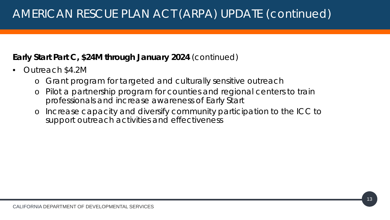## AMERICAN RESCUE PLAN ACT (ARPA) UPDATE (continued)

#### **Early Start Part C, \$24M through January 2024** (continued)

- Outreach \$4.2M
	- o *Grant program for targeted and culturally sensitive outreach*
	- o *Pilot a partnership program for counties and regional centers to train professionals and increase awareness of Early Start*
	- o *Increase capacity and diversify community participation to the ICC to support outreach activities and effectiveness*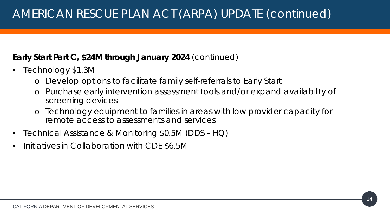## AMERICAN RESCUE PLAN ACT (ARPA) UPDATE (continued)

#### **Early Start Part C, \$24M through January 2024** (continued)

- Technology \$1.3M
	- o *Develop options to facilitate family self-referrals to Early Start*
	- o *Purchase early intervention assessment tools and/or expand availability of screening devices*
	- o *Technology equipment to families in areas with low provider capacity for remote access to assessments and services*
- Technical Assistance & Monitoring \$0.5M (DDS HQ)
- Initiatives in Collaboration with CDE \$6.5M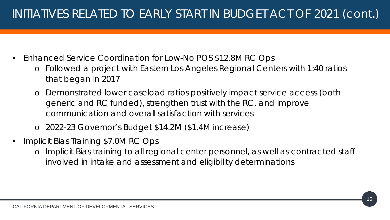- Enhanced Service Coordination for Low-No POS \$12.8M RC Ops
	- o *Followed a project with Eastern Los Angeles Regional Centers with 1:40 ratios that began in 2017*
	- o *Demonstrated lower caseload ratios positively impact service access (both generic and RC funded), strengthen trust with the RC, and improve communication and overall satisfaction with services*
	- o *2022-23 Governor's Budget \$14.2M (\$1.4M increase)*
- Implicit Bias Training \$7.0M RC Ops
	- o *Implicit Bias training to all regional center personnel, as well as contracted staff involved in intake and assessment and eligibility determinations*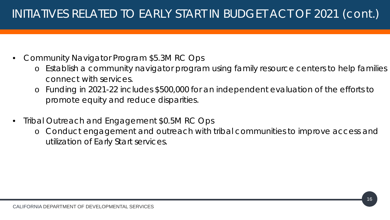- Community Navigator Program \$5.3M RC Ops
	- o *Establish a community navigator program using family resource centers to help families connect with services.*
	- o *Funding in 2021-22 includes \$500,000 for an independent evaluation of the efforts to promote equity and reduce disparities*.
- Tribal Outreach and Engagement \$0.5M RC Ops
	- o *Conduct engagement and outreach with tribal communities to improve access and utilization of Early Start services.*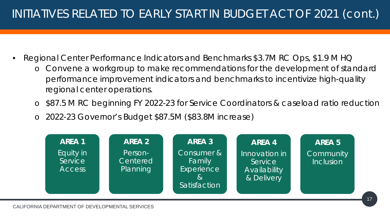- Regional Center Performance Indicators and Benchmarks \$3.7M RC Ops, \$1.9 M HQ
	- o *Convene a workgroup to make recommendations for the development of standard performance improvement indicators and benchmarks to incentivize high-quality regional center operations.*
	- o *\$87.5 M RC beginning FY 2022-23 for Service Coordinators & caseload ratio reduction*
	- o *2022-23 Governor's Budget \$87.5M (\$83.8M increase)*

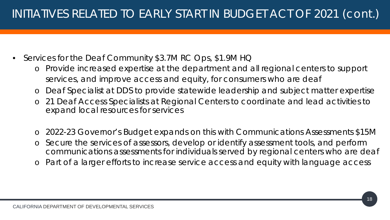- Services for the Deaf Community \$3.7M RC Ops, \$1.9M HQ
	- o *Provide increased expertise at the department and all regional centers to support services, and improve access and equity, for consumers who are deaf*
	- Deaf Specialist at DDS to provide statewide leadership and subject matter expertise
	- o *21 Deaf Access Specialists at Regional Centers to coordinate and lead activities to expand local resources for services*
	- o 2022-23 Governor's Budget expands on this with Communications Assessments \$15M
	- o *Secure the services of assessors, develop or identify assessment tools, and perform communications assessments for individuals served by regional centers who are deaf*
	- Part of a larger efforts to increase service access and equity with language access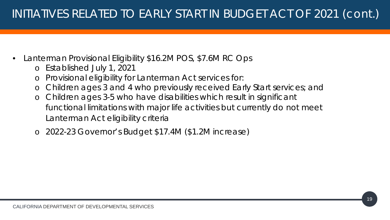- Lanterman Provisional Eligibility \$16.2M POS, \$7.6M RC Ops
	- o *Established July 1, 2021*
	- o *Provisional eligibility for Lanterman Act services for:*
	- o *Children ages 3 and 4 who previously received Early Start services; and*
	- o *Children ages 3-5 who have disabilities which result in significant functional limitations with major life activities but currently do not meet Lanterman Act eligibility criteria*
	- o *2022-23 Governor's Budget \$17.4M (\$1.2M increase)*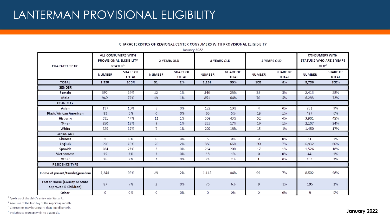| January 2022                                         |                                                                      |                                 |                |                                 |                    |                                 |               |                          |                                                                              |                   |
|------------------------------------------------------|----------------------------------------------------------------------|---------------------------------|----------------|---------------------------------|--------------------|---------------------------------|---------------|--------------------------|------------------------------------------------------------------------------|-------------------|
| <b>CHARACTERISTIC</b>                                | ALL CONSUMERS WITH<br>PROVISIONAL ELIGIBILITY<br>STATUS <sup>1</sup> |                                 | 2 YEARS OLD    |                                 | <b>3 YEARS OLD</b> |                                 | 4 YEARS OLD   |                          | <b>CONSUMERS WITH</b><br><b>STATUS 2 WHO ARE 3 YEARS</b><br>OLD <sup>2</sup> |                   |
|                                                      | <b>NUMBER</b>                                                        | <b>SHARE OF</b><br><b>TOTAL</b> | <b>NUMBER</b>  | <b>SHARE OF</b><br><b>TOTAL</b> | <b>NUMBER</b>      | <b>SHARE OF</b><br><b>TOTAL</b> | <b>NUMBER</b> | SHARE OF<br><b>TOTAL</b> | <b>NUMBER</b>                                                                | SHARE OF<br>TOTAL |
| <b>TOTAL</b>                                         | 1,330                                                                | 100%                            | 31             | 2%                              | 1,191              | 90%                             | 108           | 8%                       | 8,706                                                                        | 100%              |
| <b>GENDER</b>                                        |                                                                      |                                 |                |                                 |                    |                                 |               |                          |                                                                              |                   |
| Female                                               | 390                                                                  | 29%                             | 12             | 1%                              | 340                | 26%                             | 38            | 3%                       | 2,413                                                                        | 28%               |
| Male                                                 | 940                                                                  | 71%                             | 19             | 1%                              | 851                | 64%                             | 70            | 5%                       | 6.293                                                                        | 72%               |
| <b>ETHNICITY</b>                                     |                                                                      |                                 |                |                                 |                    |                                 |               |                          |                                                                              |                   |
| <b>Asian</b>                                         | 137                                                                  | 10%                             | 5.             | 0%                              | 128                | 10%                             | 4.            | $0\%$                    | 751                                                                          | 9%                |
| Black/African American                               | 83                                                                   | 6%                              | $\circ$        | 0%                              | 65                 | 5%                              | 18            | $1\%$                    | 497                                                                          | 6%                |
| Hispanic                                             | 631                                                                  | 47%                             | 11             | 1%                              | 568                | 43%                             | 52            | 4%                       | 3,901                                                                        | 45%               |
| Other                                                | 250                                                                  | 19%                             | 8              | 1%                              | 223                | 17%                             | 19            | 1%                       | 2,107                                                                        | 24%               |
| White                                                | 229                                                                  | 17%                             | 7              | 1%                              | 207                | 16%                             | 15            | $1\%$                    | 1,450                                                                        | 17%               |
| LANGUAGE                                             |                                                                      |                                 |                |                                 |                    |                                 |               |                          |                                                                              |                   |
| Chinese                                              | 5.                                                                   | 0%                              | $\circ$        | 0%                              | 5.                 | 0%                              | 0             | 0%                       | 51                                                                           | 1%                |
| English                                              | 996                                                                  | 75%                             | 26             | 2%                              | 880                | 66%                             | 90            | 7%                       | 6,932                                                                        | 80%               |
| Spanish                                              | 284                                                                  | 21%                             | 3              | 0%                              | 264                | 20%                             | 17            | 1%                       | 1,526                                                                        | 18%               |
| Vietnamese                                           | 19                                                                   | 1%                              | $\mathbf 1$    | 0%                              | 18                 | 1%                              | 0.            | 0%                       | 44                                                                           | $1\%$             |
| Other                                                | 26                                                                   | 2%                              | $\mathbf{1}$   | 0%                              | 24                 | 2%                              | $\mathbf{1}$  | 0%                       | 153                                                                          | 2%                |
| RESIDENCE TYPE                                       |                                                                      |                                 |                |                                 |                    |                                 |               |                          |                                                                              |                   |
| Home of parent/family/guardian                       | 1,243                                                                | 93%                             | 29             | 2%                              | 1,115              | 84%                             | 99            | 7%                       | 8,502                                                                        | 98%               |
| Foster Home (County or State<br>approved B Children) | 87                                                                   | 7%                              | $\overline{2}$ | 0%                              | 76                 | 6%                              | 9             | $1\%$                    | 195                                                                          | 2%                |
| Other                                                | $\mathbf{0}$                                                         | 0%                              | $\circ$        | 0%                              | $\alpha$           | 0%                              | 0.            | 0%                       | 9                                                                            | 0%                |

#### **CHARACTERISTICS OF REGIONAL CENTER CONSUMERS WITH PROVISIONAL ELIGIBILITY**

 $1$  Age is as of the child's entry into Status U.

 $^{2}$  Age is as of the last day of the reporting month.

 $3$  Consumers may have more than one diagnosis.

<sup>4</sup> Includes consumers with no diagnosis. **January 2022**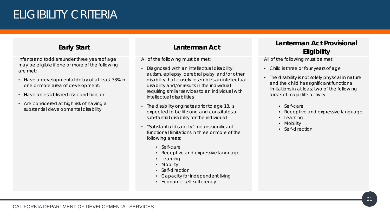## ELIGIBILITY CRITERIA

#### **Early Start**

Infants and toddlers under three years of age may be eligible if one or more of the following are met:

- Have a developmental delay of at least 33% in one or more area of development;
- Have an established risk condition; or
- Are considered at high risk of having a substantial developmental disability

#### **Lanterman Act**

All of the following must be met:

- Diagnosed with an intellectual disability, autism, epilepsy, cerebral palsy, and/or other disability that closely resembles an intellectual disability and/or results in the individual requiring similar services to an individual with intellectual disabilities
- The disability originates prior to age 18, is expected to be lifelong and constitutes a substantial disability for the individual
- "Substantial disability" means significant functional limitations in three or more of the following areas:
	- Self-care
	- Receptive and expressive language
	- Learning
	- Mobility
	- Self-direction
	- Capacity for independent living
	- Economic self-sufficiency

#### **Lanterman Act Provisional Eligibility**

All of the following must be met:

- Child is three or four years of age
- The disability is not solely physical in nature and the child has significant functional limitations in at least two of the following areas of major life activity:
	- Self-care
	- Receptive and expressive language
	- Learning
	- Mobility
	- Self-direction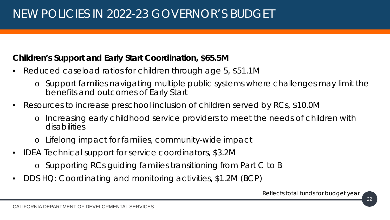## NEW POLICIES IN 2022-23 GOVERNOR'S BUDGET

#### **Children's Support and Early Start Coordination, \$65.5M**

- Reduced caseload ratios for children through age 5, \$51.1M
	- o *Support families navigating multiple public systems where challenges may limit the benefits and outcomes of Early Start*
- Resources to increase preschool inclusion of children served by RCs, \$10.0M
	- o *Increasing early childhood service providers to meet the needs of children with disabilities*
	- o *Lifelong impact for families, community-wide impact*
- IDEA Technical support for service coordinators, \$3.2M
	- o *Supporting RCs guiding families transitioning from Part C to B*
- DDS HQ: Coordinating and monitoring activities, \$1.2M (BCP)